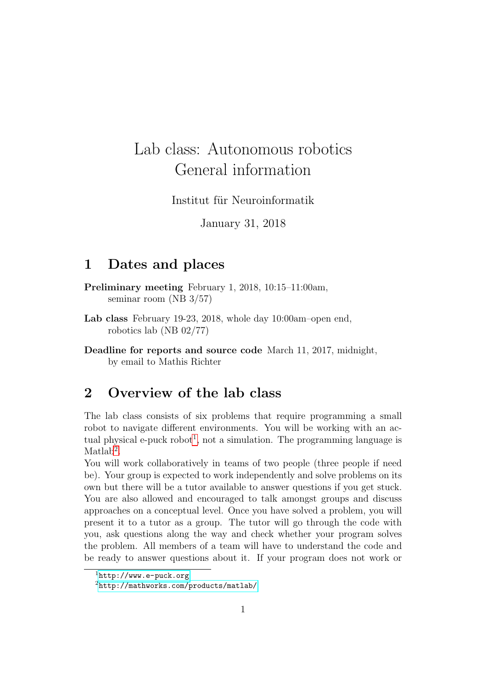# Lab class: Autonomous robotics General information

Institut für Neuroinformatik

January 31, 2018

#### 1 Dates and places

Preliminary meeting February 1, 2018, 10:15–11:00am, seminar room (NB 3/57)

Lab class February 19-23, 2018, whole day 10:00am–open end, robotics lab (NB 02/77)

Deadline for reports and source code March 11, 2017, midnight, by email to Mathis Richter

# 2 Overview of the lab class

The lab class consists of six problems that require programming a small robot to navigate different environments. You will be working with an ac-tual physical e-puck robot<sup>[1](#page-0-0)</sup>, not a simulation. The programming language is  $\mathrm{Matlab}^2$  $\mathrm{Matlab}^2$ .

You will work collaboratively in teams of two people (three people if need be). Your group is expected to work independently and solve problems on its own but there will be a tutor available to answer questions if you get stuck. You are also allowed and encouraged to talk amongst groups and discuss approaches on a conceptual level. Once you have solved a problem, you will present it to a tutor as a group. The tutor will go through the code with you, ask questions along the way and check whether your program solves the problem. All members of a team will have to understand the code and be ready to answer questions about it. If your program does not work or

<span id="page-0-0"></span> $1$ <http://www.e-puck.org>

<span id="page-0-1"></span><sup>2</sup><http://mathworks.com/products/matlab/>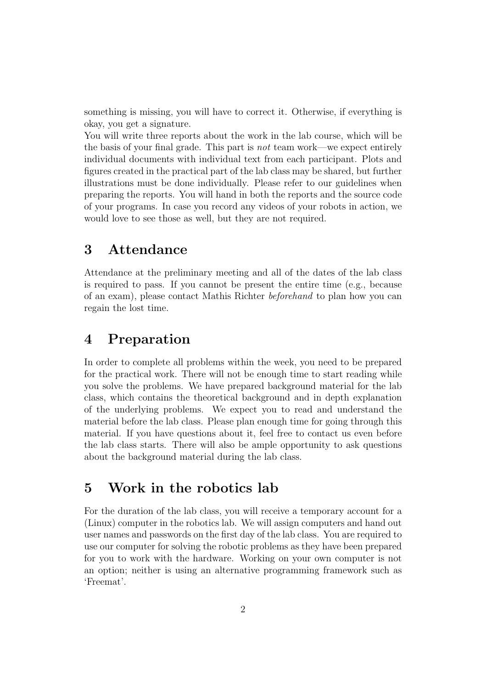something is missing, you will have to correct it. Otherwise, if everything is okay, you get a signature.

You will write three reports about the work in the lab course, which will be the basis of your final grade. This part is not team work—we expect entirely individual documents with individual text from each participant. Plots and figures created in the practical part of the lab class may be shared, but further illustrations must be done individually. Please refer to our guidelines when preparing the reports. You will hand in both the reports and the source code of your programs. In case you record any videos of your robots in action, we would love to see those as well, but they are not required.

### 3 Attendance

Attendance at the preliminary meeting and all of the dates of the lab class is required to pass. If you cannot be present the entire time (e.g., because of an exam), please contact Mathis Richter beforehand to plan how you can regain the lost time.

## 4 Preparation

In order to complete all problems within the week, you need to be prepared for the practical work. There will not be enough time to start reading while you solve the problems. We have prepared background material for the lab class, which contains the theoretical background and in depth explanation of the underlying problems. We expect you to read and understand the material before the lab class. Please plan enough time for going through this material. If you have questions about it, feel free to contact us even before the lab class starts. There will also be ample opportunity to ask questions about the background material during the lab class.

#### 5 Work in the robotics lab

For the duration of the lab class, you will receive a temporary account for a (Linux) computer in the robotics lab. We will assign computers and hand out user names and passwords on the first day of the lab class. You are required to use our computer for solving the robotic problems as they have been prepared for you to work with the hardware. Working on your own computer is not an option; neither is using an alternative programming framework such as 'Freemat'.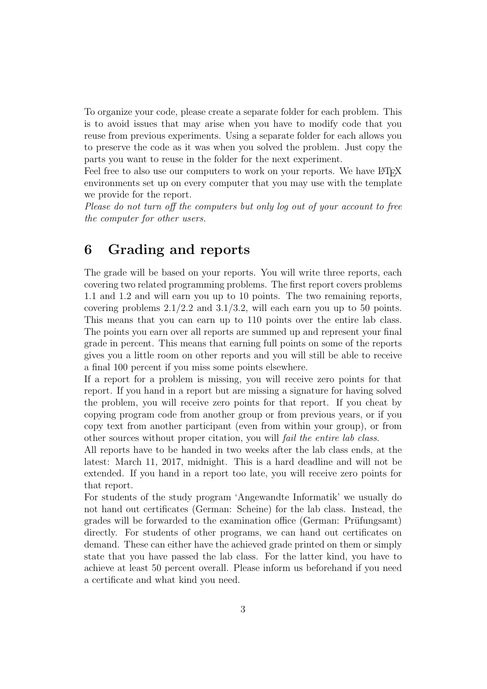To organize your code, please create a separate folder for each problem. This is to avoid issues that may arise when you have to modify code that you reuse from previous experiments. Using a separate folder for each allows you to preserve the code as it was when you solved the problem. Just copy the parts you want to reuse in the folder for the next experiment.

Feel free to also use our computers to work on your reports. We have LATEX environments set up on every computer that you may use with the template we provide for the report.

Please do not turn off the computers but only log out of your account to free the computer for other users.

### 6 Grading and reports

The grade will be based on your reports. You will write three reports, each covering two related programming problems. The first report covers problems 1.1 and 1.2 and will earn you up to 10 points. The two remaining reports, covering problems  $2.1/2.2$  and  $3.1/3.2$ , will each earn you up to 50 points. This means that you can earn up to 110 points over the entire lab class. The points you earn over all reports are summed up and represent your final grade in percent. This means that earning full points on some of the reports gives you a little room on other reports and you will still be able to receive a final 100 percent if you miss some points elsewhere.

If a report for a problem is missing, you will receive zero points for that report. If you hand in a report but are missing a signature for having solved the problem, you will receive zero points for that report. If you cheat by copying program code from another group or from previous years, or if you copy text from another participant (even from within your group), or from other sources without proper citation, you will fail the entire lab class.

All reports have to be handed in two weeks after the lab class ends, at the latest: March 11, 2017, midnight. This is a hard deadline and will not be extended. If you hand in a report too late, you will receive zero points for that report.

For students of the study program 'Angewandte Informatik' we usually do not hand out certificates (German: Scheine) for the lab class. Instead, the grades will be forwarded to the examination office (German: Prüfungsamt) directly. For students of other programs, we can hand out certificates on demand. These can either have the achieved grade printed on them or simply state that you have passed the lab class. For the latter kind, you have to achieve at least 50 percent overall. Please inform us beforehand if you need a certificate and what kind you need.